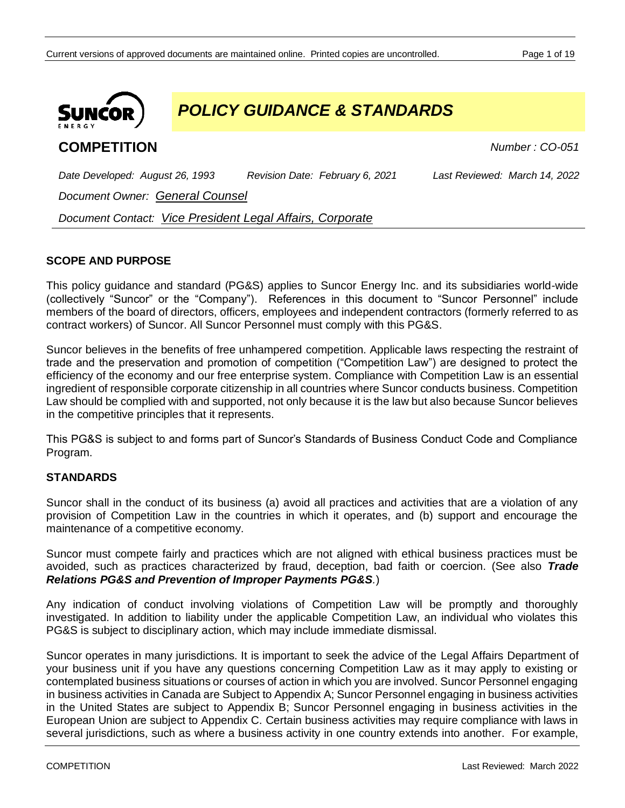

*POLICY GUIDANCE & STANDARDS*

# **COMPETITION** *Number : CO-051*

*Date Developed: August 26, 1993 Revision Date: February 6, 2021 Last Reviewed: March 14, 2022*

*Document Owner: General Counsel*

*Document Contact: Vice President Legal Affairs, Corporate*

# **SCOPE AND PURPOSE**

This policy guidance and standard (PG&S) applies to Suncor Energy Inc. and its subsidiaries world-wide (collectively "Suncor" or the "Company"). References in this document to "Suncor Personnel" include members of the board of directors, officers, employees and independent contractors (formerly referred to as contract workers) of Suncor. All Suncor Personnel must comply with this PG&S.

Suncor believes in the benefits of free unhampered competition. Applicable laws respecting the restraint of trade and the preservation and promotion of competition ("Competition Law") are designed to protect the efficiency of the economy and our free enterprise system. Compliance with Competition Law is an essential ingredient of responsible corporate citizenship in all countries where Suncor conducts business. Competition Law should be complied with and supported, not only because it is the law but also because Suncor believes in the competitive principles that it represents.

This PG&S is subject to and forms part of Suncor's Standards of Business Conduct Code and Compliance Program.

### **STANDARDS**

Suncor shall in the conduct of its business (a) avoid all practices and activities that are a violation of any provision of Competition Law in the countries in which it operates, and (b) support and encourage the maintenance of a competitive economy.

Suncor must compete fairly and practices which are not aligned with ethical business practices must be avoided, such as practices characterized by fraud, deception, bad faith or coercion. (See also *Trade Relations PG&S and Prevention of Improper Payments PG&S.*)

Any indication of conduct involving violations of Competition Law will be promptly and thoroughly investigated. In addition to liability under the applicable Competition Law, an individual who violates this PG&S is subject to disciplinary action, which may include immediate dismissal.

Suncor operates in many jurisdictions. It is important to seek the advice of the Legal Affairs Department of your business unit if you have any questions concerning Competition Law as it may apply to existing or contemplated business situations or courses of action in which you are involved. Suncor Personnel engaging in business activities in Canada are Subject to Appendix A; Suncor Personnel engaging in business activities in the United States are subject to Appendix B; Suncor Personnel engaging in business activities in the European Union are subject to Appendix C. Certain business activities may require compliance with laws in several jurisdictions, such as where a business activity in one country extends into another. For example,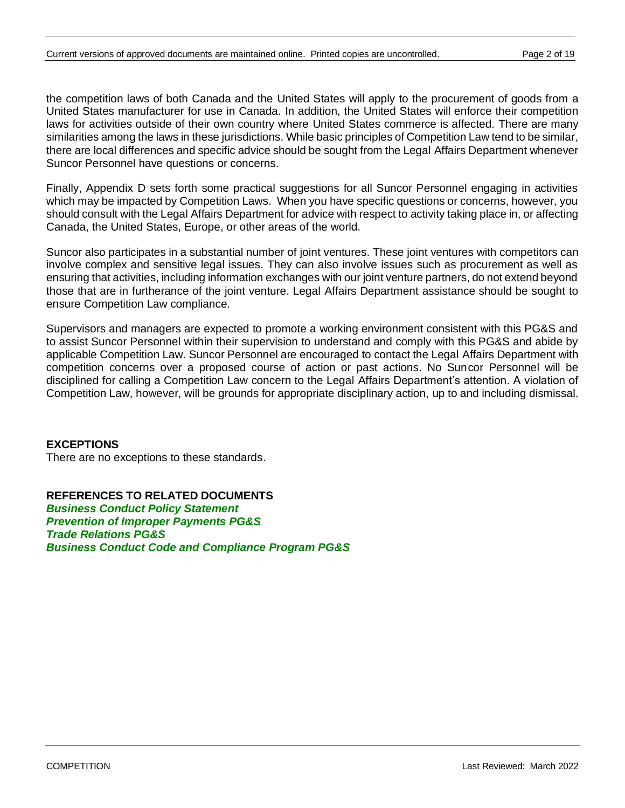the competition laws of both Canada and the United States will apply to the procurement of goods from a United States manufacturer for use in Canada. In addition, the United States will enforce their competition laws for activities outside of their own country where United States commerce is affected. There are many similarities among the laws in these jurisdictions. While basic principles of Competition Law tend to be similar, there are local differences and specific advice should be sought from the Legal Affairs Department whenever Suncor Personnel have questions or concerns.

Finally, Appendix D sets forth some practical suggestions for all Suncor Personnel engaging in activities which may be impacted by Competition Laws. When you have specific questions or concerns, however, you should consult with the Legal Affairs Department for advice with respect to activity taking place in, or affecting Canada, the United States, Europe, or other areas of the world.

Suncor also participates in a substantial number of joint ventures. These joint ventures with competitors can involve complex and sensitive legal issues. They can also involve issues such as procurement as well as ensuring that activities, including information exchanges with our joint venture partners, do not extend beyond those that are in furtherance of the joint venture. Legal Affairs Department assistance should be sought to ensure Competition Law compliance.

Supervisors and managers are expected to promote a working environment consistent with this PG&S and to assist Suncor Personnel within their supervision to understand and comply with this PG&S and abide by applicable Competition Law. Suncor Personnel are encouraged to contact the Legal Affairs Department with competition concerns over a proposed course of action or past actions. No Suncor Personnel will be disciplined for calling a Competition Law concern to the Legal Affairs Department's attention. A violation of Competition Law, however, will be grounds for appropriate disciplinary action, up to and including dismissal.

### **EXCEPTIONS**

There are no exceptions to these standards.

**REFERENCES TO RELATED DOCUMENTS** *Business Conduct Policy Statement Prevention of Improper Payments PG&S Trade Relations PG&S Business Conduct Code and Compliance Program PG&S*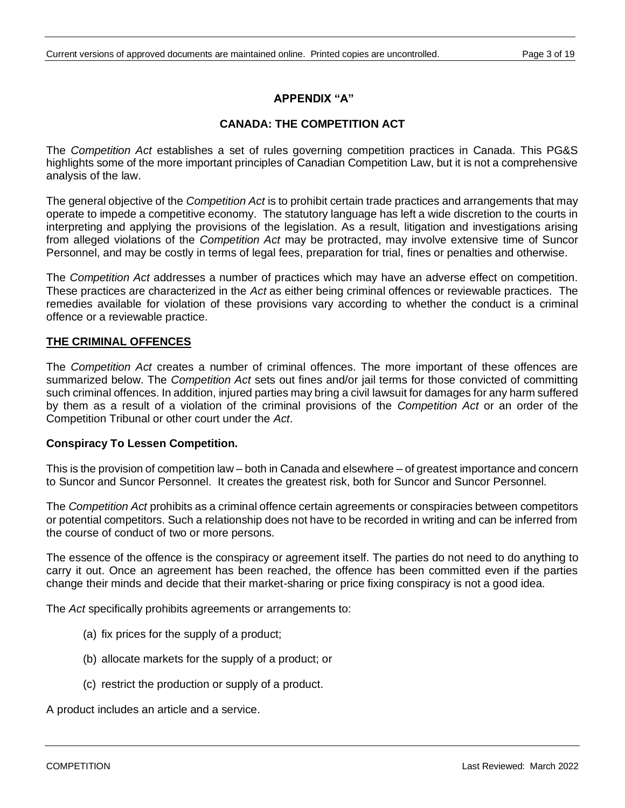# **APPENDIX "A"**

### **CANADA: THE COMPETITION ACT**

The *Competition Act* establishes a set of rules governing competition practices in Canada. This PG&S highlights some of the more important principles of Canadian Competition Law, but it is not a comprehensive analysis of the law.

The general objective of the *Competition Act* is to prohibit certain trade practices and arrangements that may operate to impede a competitive economy. The statutory language has left a wide discretion to the courts in interpreting and applying the provisions of the legislation. As a result, litigation and investigations arising from alleged violations of the *Competition Act* may be protracted, may involve extensive time of Suncor Personnel, and may be costly in terms of legal fees, preparation for trial, fines or penalties and otherwise.

The *Competition Act* addresses a number of practices which may have an adverse effect on competition. These practices are characterized in the *Act* as either being criminal offences or reviewable practices. The remedies available for violation of these provisions vary according to whether the conduct is a criminal offence or a reviewable practice.

### **THE CRIMINAL OFFENCES**

The *Competition Act* creates a number of criminal offences. The more important of these offences are summarized below. The *Competition Act* sets out fines and/or jail terms for those convicted of committing such criminal offences. In addition, injured parties may bring a civil lawsuit for damages for any harm suffered by them as a result of a violation of the criminal provisions of the *Competition Act* or an order of the Competition Tribunal or other court under the *Act*.

#### **Conspiracy To Lessen Competition.**

This is the provision of competition law – both in Canada and elsewhere – of greatest importance and concern to Suncor and Suncor Personnel. It creates the greatest risk, both for Suncor and Suncor Personnel.

The *Competition Act* prohibits as a criminal offence certain agreements or conspiracies between competitors or potential competitors. Such a relationship does not have to be recorded in writing and can be inferred from the course of conduct of two or more persons.

The essence of the offence is the conspiracy or agreement itself. The parties do not need to do anything to carry it out. Once an agreement has been reached, the offence has been committed even if the parties change their minds and decide that their market-sharing or price fixing conspiracy is not a good idea.

The *Act* specifically prohibits agreements or arrangements to:

- (a) fix prices for the supply of a product;
- (b) allocate markets for the supply of a product; or
- (c) restrict the production or supply of a product.

A product includes an article and a service.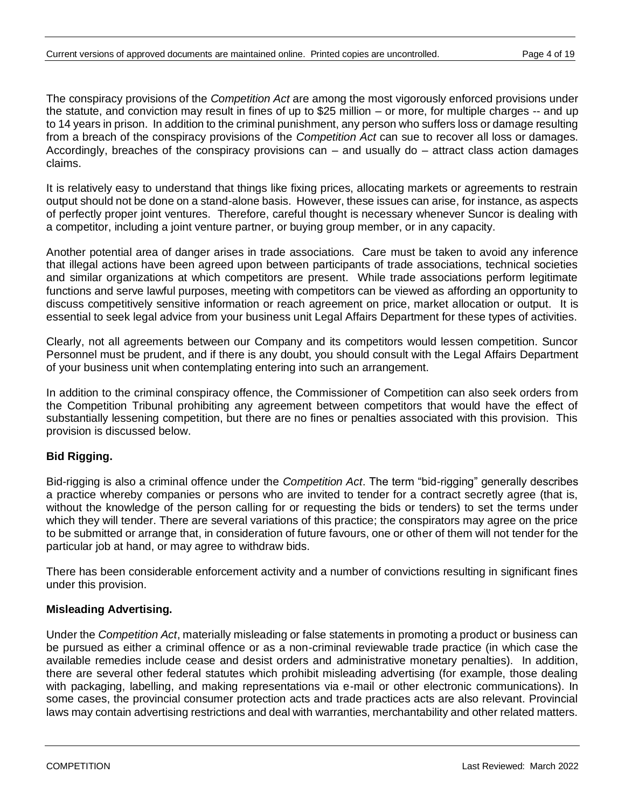The conspiracy provisions of the *Competition Act* are among the most vigorously enforced provisions under the statute, and conviction may result in fines of up to \$25 million – or more, for multiple charges -- and up to 14 years in prison. In addition to the criminal punishment, any person who suffers loss or damage resulting from a breach of the conspiracy provisions of the *Competition Act* can sue to recover all loss or damages. Accordingly, breaches of the conspiracy provisions can – and usually do – attract class action damages claims.

It is relatively easy to understand that things like fixing prices, allocating markets or agreements to restrain output should not be done on a stand-alone basis. However, these issues can arise, for instance, as aspects of perfectly proper joint ventures. Therefore, careful thought is necessary whenever Suncor is dealing with a competitor, including a joint venture partner, or buying group member, or in any capacity.

Another potential area of danger arises in trade associations. Care must be taken to avoid any inference that illegal actions have been agreed upon between participants of trade associations, technical societies and similar organizations at which competitors are present. While trade associations perform legitimate functions and serve lawful purposes, meeting with competitors can be viewed as affording an opportunity to discuss competitively sensitive information or reach agreement on price, market allocation or output. It is essential to seek legal advice from your business unit Legal Affairs Department for these types of activities.

Clearly, not all agreements between our Company and its competitors would lessen competition. Suncor Personnel must be prudent, and if there is any doubt, you should consult with the Legal Affairs Department of your business unit when contemplating entering into such an arrangement.

In addition to the criminal conspiracy offence, the Commissioner of Competition can also seek orders from the Competition Tribunal prohibiting any agreement between competitors that would have the effect of substantially lessening competition, but there are no fines or penalties associated with this provision. This provision is discussed below.

### **Bid Rigging.**

Bid-rigging is also a criminal offence under the *Competition Act*. The term "bid-rigging" generally describes a practice whereby companies or persons who are invited to tender for a contract secretly agree (that is, without the knowledge of the person calling for or requesting the bids or tenders) to set the terms under which they will tender. There are several variations of this practice; the conspirators may agree on the price to be submitted or arrange that, in consideration of future favours, one or other of them will not tender for the particular job at hand, or may agree to withdraw bids.

There has been considerable enforcement activity and a number of convictions resulting in significant fines under this provision.

### **Misleading Advertising.**

Under the *Competition Act*, materially misleading or false statements in promoting a product or business can be pursued as either a criminal offence or as a non-criminal reviewable trade practice (in which case the available remedies include cease and desist orders and administrative monetary penalties). In addition, there are several other federal statutes which prohibit misleading advertising (for example, those dealing with packaging, labelling, and making representations via e-mail or other electronic communications). In some cases, the provincial consumer protection acts and trade practices acts are also relevant. Provincial laws may contain advertising restrictions and deal with warranties, merchantability and other related matters.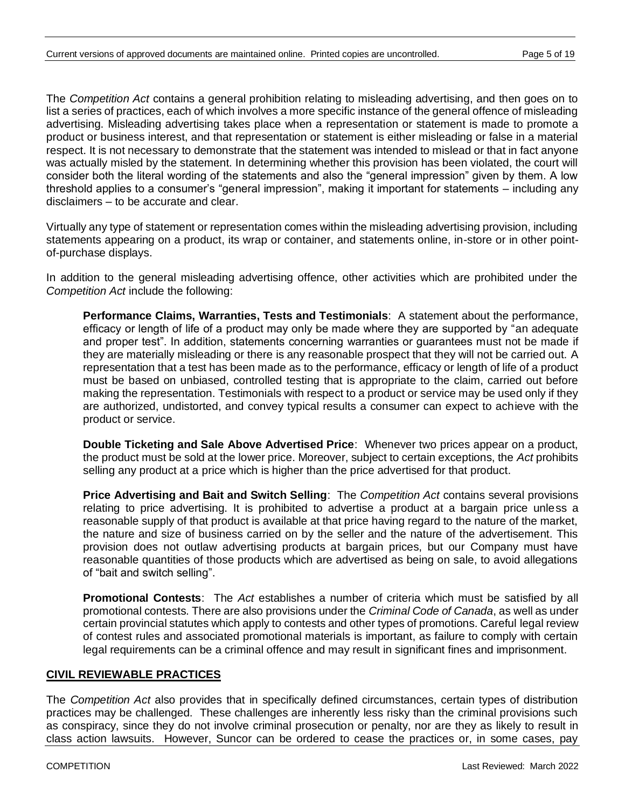The *Competition Act* contains a general prohibition relating to misleading advertising, and then goes on to list a series of practices, each of which involves a more specific instance of the general offence of misleading advertising. Misleading advertising takes place when a representation or statement is made to promote a product or business interest, and that representation or statement is either misleading or false in a material respect. It is not necessary to demonstrate that the statement was intended to mislead or that in fact anyone was actually misled by the statement. In determining whether this provision has been violated, the court will consider both the literal wording of the statements and also the "general impression" given by them. A low threshold applies to a consumer's "general impression", making it important for statements – including any disclaimers – to be accurate and clear.

Virtually any type of statement or representation comes within the misleading advertising provision, including statements appearing on a product, its wrap or container, and statements online, in-store or in other pointof-purchase displays.

In addition to the general misleading advertising offence, other activities which are prohibited under the *Competition Act* include the following:

**Performance Claims, Warranties, Tests and Testimonials**: A statement about the performance, efficacy or length of life of a product may only be made where they are supported by "an adequate and proper test". In addition, statements concerning warranties or guarantees must not be made if they are materially misleading or there is any reasonable prospect that they will not be carried out. A representation that a test has been made as to the performance, efficacy or length of life of a product must be based on unbiased, controlled testing that is appropriate to the claim, carried out before making the representation. Testimonials with respect to a product or service may be used only if they are authorized, undistorted, and convey typical results a consumer can expect to achieve with the product or service.

**Double Ticketing and Sale Above Advertised Price**: Whenever two prices appear on a product, the product must be sold at the lower price. Moreover, subject to certain exceptions, the *Act* prohibits selling any product at a price which is higher than the price advertised for that product.

**Price Advertising and Bait and Switch Selling**: The *Competition Act* contains several provisions relating to price advertising. It is prohibited to advertise a product at a bargain price unless a reasonable supply of that product is available at that price having regard to the nature of the market, the nature and size of business carried on by the seller and the nature of the advertisement. This provision does not outlaw advertising products at bargain prices, but our Company must have reasonable quantities of those products which are advertised as being on sale, to avoid allegations of "bait and switch selling".

**Promotional Contests**: The *Act* establishes a number of criteria which must be satisfied by all promotional contests. There are also provisions under the *Criminal Code of Canada*, as well as under certain provincial statutes which apply to contests and other types of promotions. Careful legal review of contest rules and associated promotional materials is important, as failure to comply with certain legal requirements can be a criminal offence and may result in significant fines and imprisonment.

#### **CIVIL REVIEWABLE PRACTICES**

The *Competition Act* also provides that in specifically defined circumstances, certain types of distribution practices may be challenged. These challenges are inherently less risky than the criminal provisions such as conspiracy, since they do not involve criminal prosecution or penalty, nor are they as likely to result in class action lawsuits. However, Suncor can be ordered to cease the practices or, in some cases, pay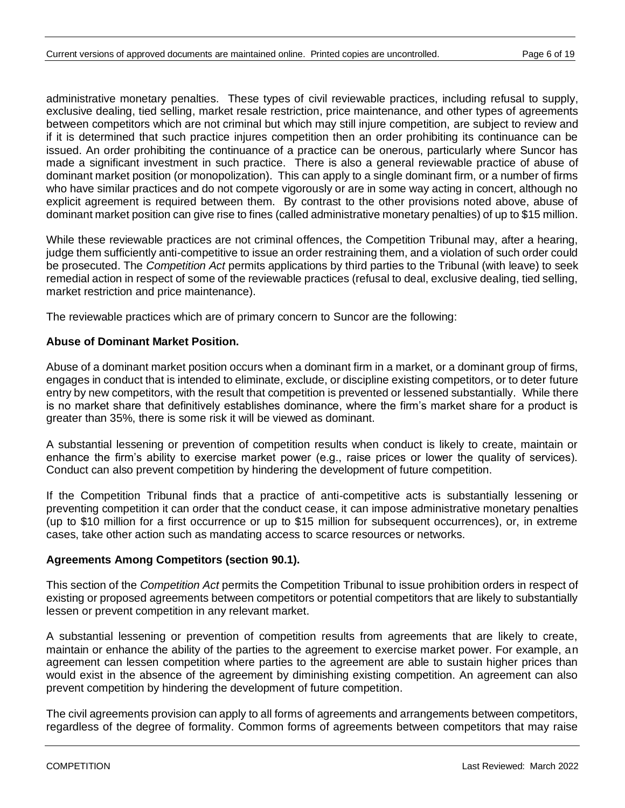administrative monetary penalties. These types of civil reviewable practices, including refusal to supply, exclusive dealing, tied selling, market resale restriction, price maintenance, and other types of agreements between competitors which are not criminal but which may still injure competition, are subject to review and if it is determined that such practice injures competition then an order prohibiting its continuance can be issued. An order prohibiting the continuance of a practice can be onerous, particularly where Suncor has made a significant investment in such practice. There is also a general reviewable practice of abuse of dominant market position (or monopolization). This can apply to a single dominant firm, or a number of firms who have similar practices and do not compete vigorously or are in some way acting in concert, although no explicit agreement is required between them. By contrast to the other provisions noted above, abuse of dominant market position can give rise to fines (called administrative monetary penalties) of up to \$15 million.

While these reviewable practices are not criminal offences, the Competition Tribunal may, after a hearing, judge them sufficiently anti-competitive to issue an order restraining them, and a violation of such order could be prosecuted. The *Competition Act* permits applications by third parties to the Tribunal (with leave) to seek remedial action in respect of some of the reviewable practices (refusal to deal, exclusive dealing, tied selling, market restriction and price maintenance).

The reviewable practices which are of primary concern to Suncor are the following:

### **Abuse of Dominant Market Position.**

Abuse of a dominant market position occurs when a dominant firm in a market, or a dominant group of firms, engages in conduct that is intended to eliminate, exclude, or discipline existing competitors, or to deter future entry by new competitors, with the result that competition is prevented or lessened substantially. While there is no market share that definitively establishes dominance, where the firm's market share for a product is greater than 35%, there is some risk it will be viewed as dominant.

A substantial lessening or prevention of competition results when conduct is likely to create, maintain or enhance the firm's ability to exercise market power (e.g., raise prices or lower the quality of services). Conduct can also prevent competition by hindering the development of future competition.

If the Competition Tribunal finds that a practice of anti-competitive acts is substantially lessening or preventing competition it can order that the conduct cease, it can impose administrative monetary penalties (up to \$10 million for a first occurrence or up to \$15 million for subsequent occurrences), or, in extreme cases, take other action such as mandating access to scarce resources or networks.

#### **Agreements Among Competitors (section 90.1).**

This section of the *Competition Act* permits the Competition Tribunal to issue prohibition orders in respect of existing or proposed agreements between competitors or potential competitors that are likely to substantially lessen or prevent competition in any relevant market.

A substantial lessening or prevention of competition results from agreements that are likely to create, maintain or enhance the ability of the parties to the agreement to exercise market power. For example, an agreement can lessen competition where parties to the agreement are able to sustain higher prices than would exist in the absence of the agreement by diminishing existing competition. An agreement can also prevent competition by hindering the development of future competition.

The civil agreements provision can apply to all forms of agreements and arrangements between competitors, regardless of the degree of formality. Common forms of agreements between competitors that may raise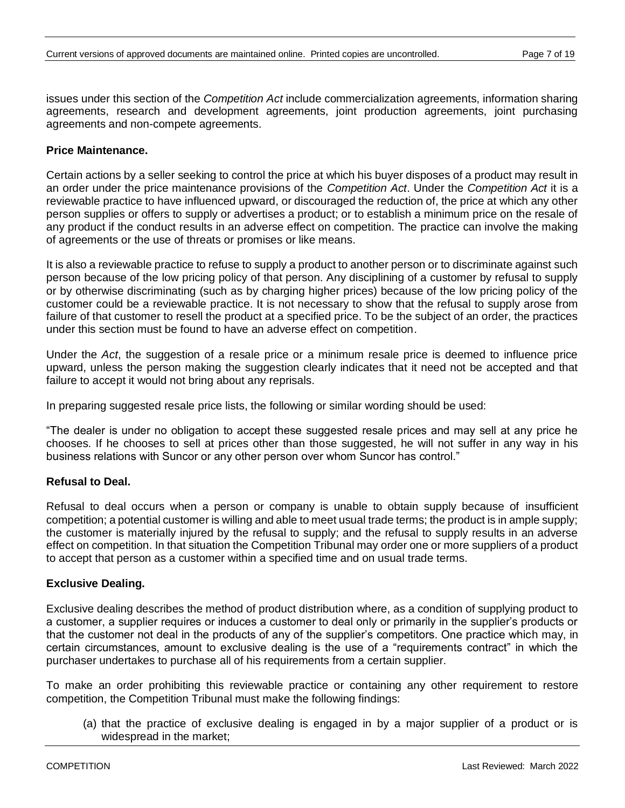issues under this section of the *Competition Act* include commercialization agreements, information sharing agreements, research and development agreements, joint production agreements, joint purchasing agreements and non-compete agreements.

### **Price Maintenance.**

Certain actions by a seller seeking to control the price at which his buyer disposes of a product may result in an order under the price maintenance provisions of the *Competition Act*. Under the *Competition Act* it is a reviewable practice to have influenced upward, or discouraged the reduction of, the price at which any other person supplies or offers to supply or advertises a product; or to establish a minimum price on the resale of any product if the conduct results in an adverse effect on competition. The practice can involve the making of agreements or the use of threats or promises or like means.

It is also a reviewable practice to refuse to supply a product to another person or to discriminate against such person because of the low pricing policy of that person. Any disciplining of a customer by refusal to supply or by otherwise discriminating (such as by charging higher prices) because of the low pricing policy of the customer could be a reviewable practice. It is not necessary to show that the refusal to supply arose from failure of that customer to resell the product at a specified price. To be the subject of an order, the practices under this section must be found to have an adverse effect on competition.

Under the *Act*, the suggestion of a resale price or a minimum resale price is deemed to influence price upward, unless the person making the suggestion clearly indicates that it need not be accepted and that failure to accept it would not bring about any reprisals.

In preparing suggested resale price lists, the following or similar wording should be used:

"The dealer is under no obligation to accept these suggested resale prices and may sell at any price he chooses. If he chooses to sell at prices other than those suggested, he will not suffer in any way in his business relations with Suncor or any other person over whom Suncor has control."

#### **Refusal to Deal.**

Refusal to deal occurs when a person or company is unable to obtain supply because of insufficient competition; a potential customer is willing and able to meet usual trade terms; the product is in ample supply; the customer is materially injured by the refusal to supply; and the refusal to supply results in an adverse effect on competition. In that situation the Competition Tribunal may order one or more suppliers of a product to accept that person as a customer within a specified time and on usual trade terms.

#### **Exclusive Dealing.**

Exclusive dealing describes the method of product distribution where, as a condition of supplying product to a customer, a supplier requires or induces a customer to deal only or primarily in the supplier's products or that the customer not deal in the products of any of the supplier's competitors. One practice which may, in certain circumstances, amount to exclusive dealing is the use of a "requirements contract" in which the purchaser undertakes to purchase all of his requirements from a certain supplier.

To make an order prohibiting this reviewable practice or containing any other requirement to restore competition, the Competition Tribunal must make the following findings:

(a) that the practice of exclusive dealing is engaged in by a major supplier of a product or is widespread in the market;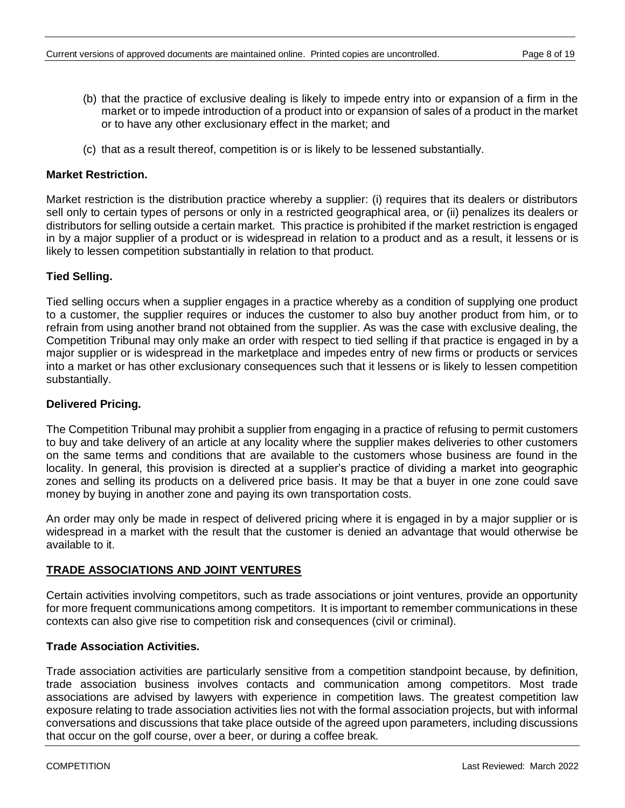- (b) that the practice of exclusive dealing is likely to impede entry into or expansion of a firm in the market or to impede introduction of a product into or expansion of sales of a product in the market or to have any other exclusionary effect in the market; and
- (c) that as a result thereof, competition is or is likely to be lessened substantially.

### **Market Restriction.**

Market restriction is the distribution practice whereby a supplier: (i) requires that its dealers or distributors sell only to certain types of persons or only in a restricted geographical area, or (ii) penalizes its dealers or distributors for selling outside a certain market. This practice is prohibited if the market restriction is engaged in by a major supplier of a product or is widespread in relation to a product and as a result, it lessens or is likely to lessen competition substantially in relation to that product.

### **Tied Selling.**

Tied selling occurs when a supplier engages in a practice whereby as a condition of supplying one product to a customer, the supplier requires or induces the customer to also buy another product from him, or to refrain from using another brand not obtained from the supplier. As was the case with exclusive dealing, the Competition Tribunal may only make an order with respect to tied selling if that practice is engaged in by a major supplier or is widespread in the marketplace and impedes entry of new firms or products or services into a market or has other exclusionary consequences such that it lessens or is likely to lessen competition substantially.

### **Delivered Pricing.**

The Competition Tribunal may prohibit a supplier from engaging in a practice of refusing to permit customers to buy and take delivery of an article at any locality where the supplier makes deliveries to other customers on the same terms and conditions that are available to the customers whose business are found in the locality. In general, this provision is directed at a supplier's practice of dividing a market into geographic zones and selling its products on a delivered price basis. It may be that a buyer in one zone could save money by buying in another zone and paying its own transportation costs.

An order may only be made in respect of delivered pricing where it is engaged in by a major supplier or is widespread in a market with the result that the customer is denied an advantage that would otherwise be available to it.

### **TRADE ASSOCIATIONS AND JOINT VENTURES**

Certain activities involving competitors, such as trade associations or joint ventures, provide an opportunity for more frequent communications among competitors. It is important to remember communications in these contexts can also give rise to competition risk and consequences (civil or criminal).

#### **Trade Association Activities.**

Trade association activities are particularly sensitive from a competition standpoint because, by definition, trade association business involves contacts and communication among competitors. Most trade associations are advised by lawyers with experience in competition laws. The greatest competition law exposure relating to trade association activities lies not with the formal association projects, but with informal conversations and discussions that take place outside of the agreed upon parameters, including discussions that occur on the golf course, over a beer, or during a coffee break.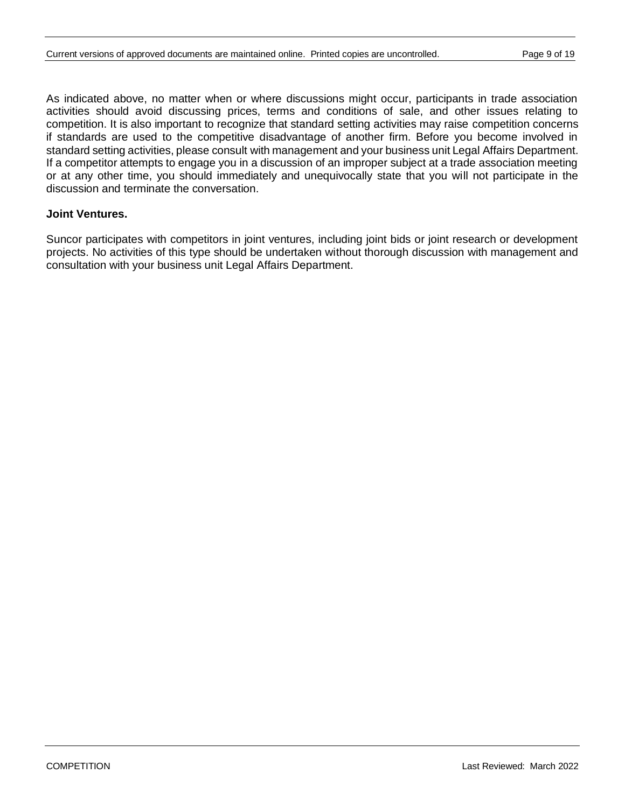As indicated above, no matter when or where discussions might occur, participants in trade association activities should avoid discussing prices, terms and conditions of sale, and other issues relating to competition. It is also important to recognize that standard setting activities may raise competition concerns if standards are used to the competitive disadvantage of another firm. Before you become involved in standard setting activities, please consult with management and your business unit Legal Affairs Department. If a competitor attempts to engage you in a discussion of an improper subject at a trade association meeting or at any other time, you should immediately and unequivocally state that you will not participate in the discussion and terminate the conversation.

#### **Joint Ventures.**

Suncor participates with competitors in joint ventures, including joint bids or joint research or development projects. No activities of this type should be undertaken without thorough discussion with management and consultation with your business unit Legal Affairs Department.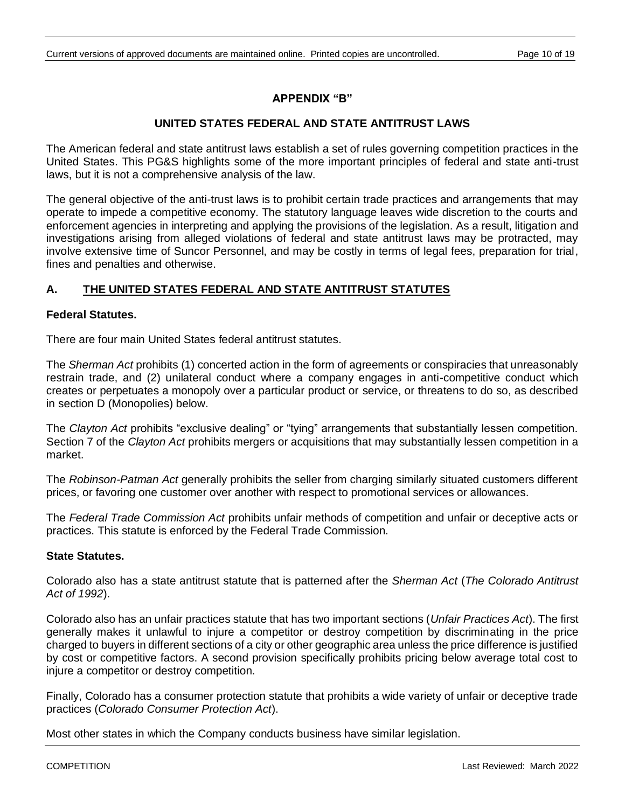### **APPENDIX "B"**

### **UNITED STATES FEDERAL AND STATE ANTITRUST LAWS**

The American federal and state antitrust laws establish a set of rules governing competition practices in the United States. This PG&S highlights some of the more important principles of federal and state anti-trust laws, but it is not a comprehensive analysis of the law.

The general objective of the anti-trust laws is to prohibit certain trade practices and arrangements that may operate to impede a competitive economy. The statutory language leaves wide discretion to the courts and enforcement agencies in interpreting and applying the provisions of the legislation. As a result, litigation and investigations arising from alleged violations of federal and state antitrust laws may be protracted, may involve extensive time of Suncor Personnel, and may be costly in terms of legal fees, preparation for trial, fines and penalties and otherwise.

### **A. THE UNITED STATES FEDERAL AND STATE ANTITRUST STATUTES**

#### **Federal Statutes.**

There are four main United States federal antitrust statutes.

The *Sherman Act* prohibits (1) concerted action in the form of agreements or conspiracies that unreasonably restrain trade, and (2) unilateral conduct where a company engages in anti-competitive conduct which creates or perpetuates a monopoly over a particular product or service, or threatens to do so, as described in section D (Monopolies) below.

The *Clayton Act* prohibits "exclusive dealing" or "tying" arrangements that substantially lessen competition. Section 7 of the *Clayton Act* prohibits mergers or acquisitions that may substantially lessen competition in a market.

The *Robinson-Patman Act* generally prohibits the seller from charging similarly situated customers different prices, or favoring one customer over another with respect to promotional services or allowances.

The *Federal Trade Commission Act* prohibits unfair methods of competition and unfair or deceptive acts or practices. This statute is enforced by the Federal Trade Commission.

#### **State Statutes.**

Colorado also has a state antitrust statute that is patterned after the *Sherman Act* (*The Colorado Antitrust Act of 1992*).

Colorado also has an unfair practices statute that has two important sections (*Unfair Practices Act*). The first generally makes it unlawful to injure a competitor or destroy competition by discriminating in the price charged to buyers in different sections of a city or other geographic area unless the price difference is justified by cost or competitive factors. A second provision specifically prohibits pricing below average total cost to injure a competitor or destroy competition.

Finally, Colorado has a consumer protection statute that prohibits a wide variety of unfair or deceptive trade practices (*Colorado Consumer Protection Act*).

Most other states in which the Company conducts business have similar legislation.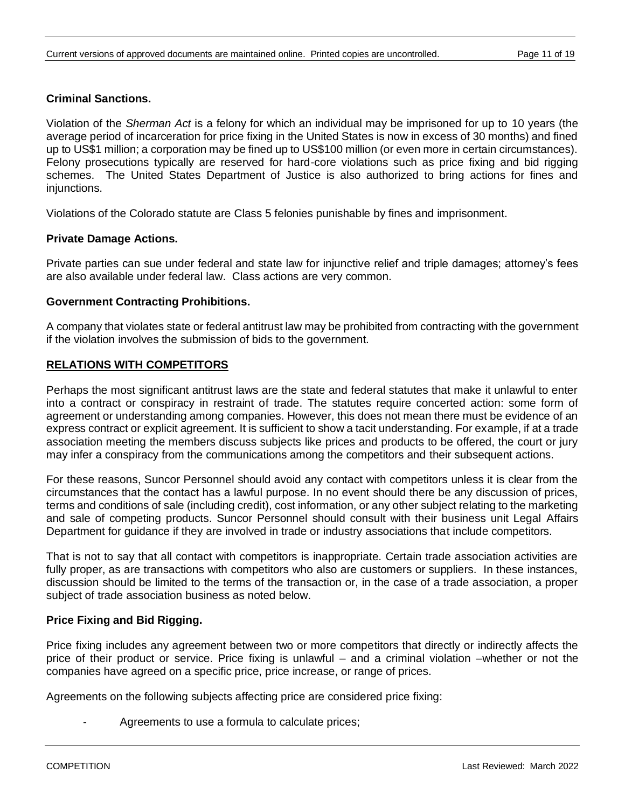### **Criminal Sanctions.**

Violation of the *Sherman Act* is a felony for which an individual may be imprisoned for up to 10 years (the average period of incarceration for price fixing in the United States is now in excess of 30 months) and fined up to US\$1 million; a corporation may be fined up to US\$100 million (or even more in certain circumstances). Felony prosecutions typically are reserved for hard-core violations such as price fixing and bid rigging schemes. The United States Department of Justice is also authorized to bring actions for fines and injunctions.

Violations of the Colorado statute are Class 5 felonies punishable by fines and imprisonment.

### **Private Damage Actions.**

Private parties can sue under federal and state law for injunctive relief and triple damages; attorney's fees are also available under federal law. Class actions are very common.

#### **Government Contracting Prohibitions.**

A company that violates state or federal antitrust law may be prohibited from contracting with the government if the violation involves the submission of bids to the government.

### **RELATIONS WITH COMPETITORS**

Perhaps the most significant antitrust laws are the state and federal statutes that make it unlawful to enter into a contract or conspiracy in restraint of trade. The statutes require concerted action: some form of agreement or understanding among companies. However, this does not mean there must be evidence of an express contract or explicit agreement. It is sufficient to show a tacit understanding. For example, if at a trade association meeting the members discuss subjects like prices and products to be offered, the court or jury may infer a conspiracy from the communications among the competitors and their subsequent actions.

For these reasons, Suncor Personnel should avoid any contact with competitors unless it is clear from the circumstances that the contact has a lawful purpose. In no event should there be any discussion of prices, terms and conditions of sale (including credit), cost information, or any other subject relating to the marketing and sale of competing products. Suncor Personnel should consult with their business unit Legal Affairs Department for guidance if they are involved in trade or industry associations that include competitors.

That is not to say that all contact with competitors is inappropriate. Certain trade association activities are fully proper, as are transactions with competitors who also are customers or suppliers. In these instances, discussion should be limited to the terms of the transaction or, in the case of a trade association, a proper subject of trade association business as noted below.

### **Price Fixing and Bid Rigging.**

Price fixing includes any agreement between two or more competitors that directly or indirectly affects the price of their product or service. Price fixing is unlawful – and a criminal violation –whether or not the companies have agreed on a specific price, price increase, or range of prices.

Agreements on the following subjects affecting price are considered price fixing:

Agreements to use a formula to calculate prices;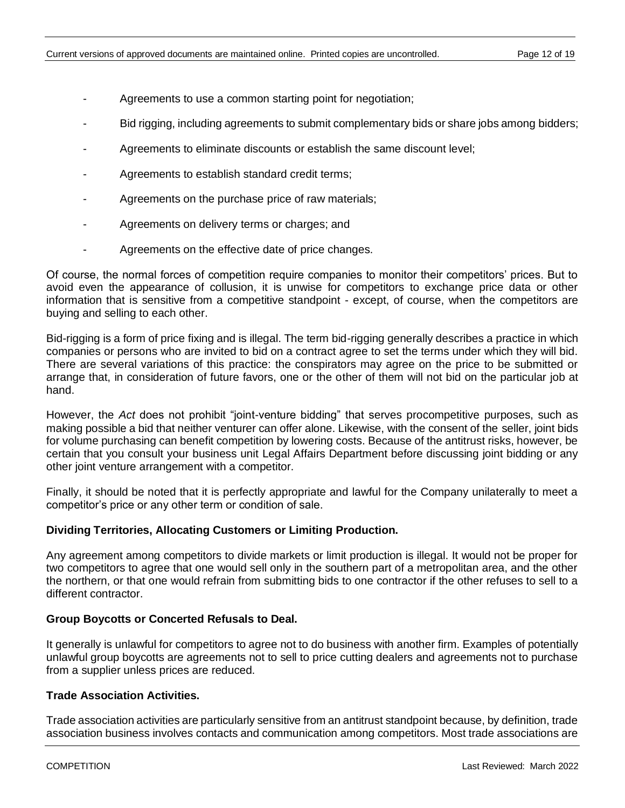- Agreements to use a common starting point for negotiation;
- Bid rigging, including agreements to submit complementary bids or share jobs among bidders;
- Agreements to eliminate discounts or establish the same discount level;
- Agreements to establish standard credit terms;
- Agreements on the purchase price of raw materials;
- Agreements on delivery terms or charges; and
- Agreements on the effective date of price changes.

Of course, the normal forces of competition require companies to monitor their competitors' prices. But to avoid even the appearance of collusion, it is unwise for competitors to exchange price data or other information that is sensitive from a competitive standpoint - except, of course, when the competitors are buying and selling to each other.

Bid-rigging is a form of price fixing and is illegal. The term bid-rigging generally describes a practice in which companies or persons who are invited to bid on a contract agree to set the terms under which they will bid. There are several variations of this practice: the conspirators may agree on the price to be submitted or arrange that, in consideration of future favors, one or the other of them will not bid on the particular job at hand.

However, the *Act* does not prohibit "joint-venture bidding" that serves procompetitive purposes, such as making possible a bid that neither venturer can offer alone. Likewise, with the consent of the seller, joint bids for volume purchasing can benefit competition by lowering costs. Because of the antitrust risks, however, be certain that you consult your business unit Legal Affairs Department before discussing joint bidding or any other joint venture arrangement with a competitor.

Finally, it should be noted that it is perfectly appropriate and lawful for the Company unilaterally to meet a competitor's price or any other term or condition of sale.

#### **Dividing Territories, Allocating Customers or Limiting Production.**

Any agreement among competitors to divide markets or limit production is illegal. It would not be proper for two competitors to agree that one would sell only in the southern part of a metropolitan area, and the other the northern, or that one would refrain from submitting bids to one contractor if the other refuses to sell to a different contractor.

#### **Group Boycotts or Concerted Refusals to Deal.**

It generally is unlawful for competitors to agree not to do business with another firm. Examples of potentially unlawful group boycotts are agreements not to sell to price cutting dealers and agreements not to purchase from a supplier unless prices are reduced.

#### **Trade Association Activities.**

Trade association activities are particularly sensitive from an antitrust standpoint because, by definition, trade association business involves contacts and communication among competitors. Most trade associations are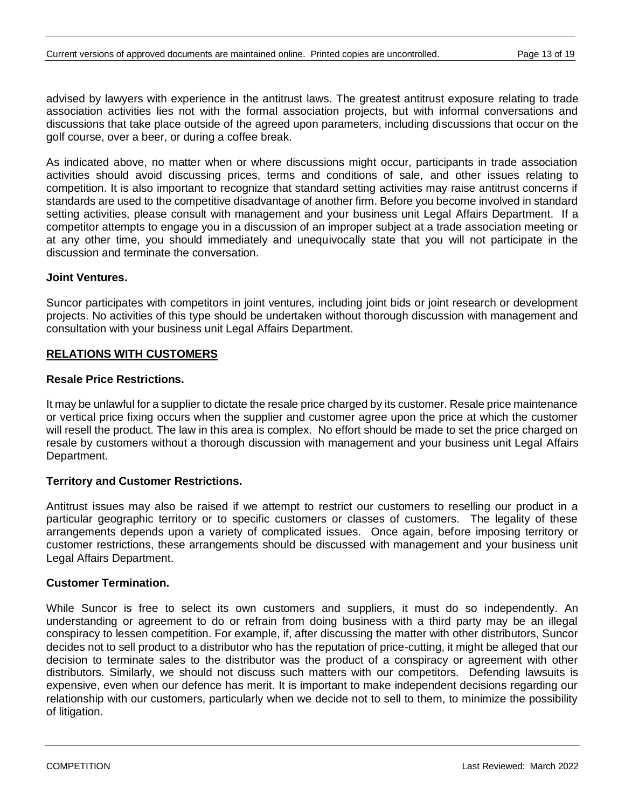advised by lawyers with experience in the antitrust laws. The greatest antitrust exposure relating to trade association activities lies not with the formal association projects, but with informal conversations and discussions that take place outside of the agreed upon parameters, including discussions that occur on the golf course, over a beer, or during a coffee break.

As indicated above, no matter when or where discussions might occur, participants in trade association activities should avoid discussing prices, terms and conditions of sale, and other issues relating to competition. It is also important to recognize that standard setting activities may raise antitrust concerns if standards are used to the competitive disadvantage of another firm. Before you become involved in standard setting activities, please consult with management and your business unit Legal Affairs Department. If a competitor attempts to engage you in a discussion of an improper subject at a trade association meeting or at any other time, you should immediately and unequivocally state that you will not participate in the discussion and terminate the conversation.

### **Joint Ventures.**

Suncor participates with competitors in joint ventures, including joint bids or joint research or development projects. No activities of this type should be undertaken without thorough discussion with management and consultation with your business unit Legal Affairs Department.

### **RELATIONS WITH CUSTOMERS**

### **Resale Price Restrictions.**

It may be unlawful for a supplier to dictate the resale price charged by its customer. Resale price maintenance or vertical price fixing occurs when the supplier and customer agree upon the price at which the customer will resell the product. The law in this area is complex. No effort should be made to set the price charged on resale by customers without a thorough discussion with management and your business unit Legal Affairs Department.

### **Territory and Customer Restrictions.**

Antitrust issues may also be raised if we attempt to restrict our customers to reselling our product in a particular geographic territory or to specific customers or classes of customers. The legality of these arrangements depends upon a variety of complicated issues. Once again, before imposing territory or customer restrictions, these arrangements should be discussed with management and your business unit Legal Affairs Department.

#### **Customer Termination.**

While Suncor is free to select its own customers and suppliers, it must do so independently. An understanding or agreement to do or refrain from doing business with a third party may be an illegal conspiracy to lessen competition. For example, if, after discussing the matter with other distributors, Suncor decides not to sell product to a distributor who has the reputation of price-cutting, it might be alleged that our decision to terminate sales to the distributor was the product of a conspiracy or agreement with other distributors. Similarly, we should not discuss such matters with our competitors. Defending lawsuits is expensive, even when our defence has merit. It is important to make independent decisions regarding our relationship with our customers, particularly when we decide not to sell to them, to minimize the possibility of litigation.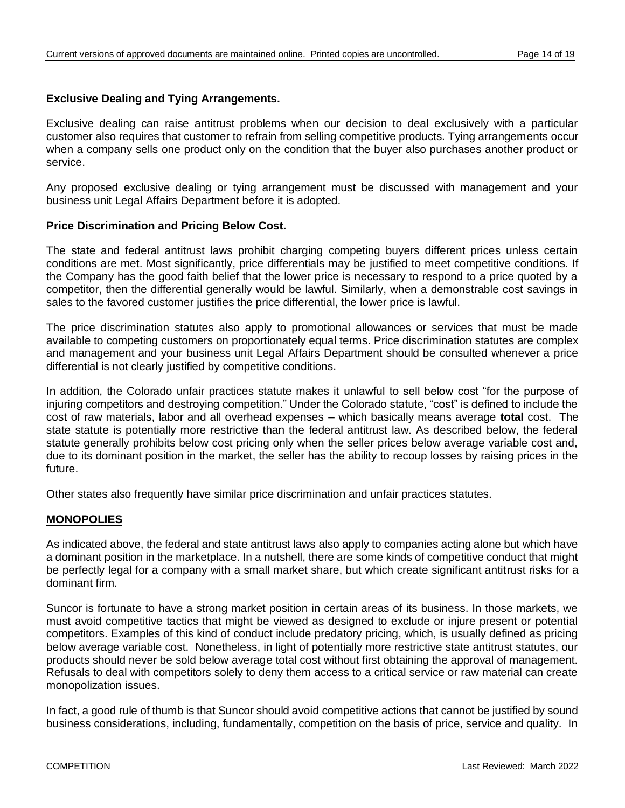### **Exclusive Dealing and Tying Arrangements.**

Exclusive dealing can raise antitrust problems when our decision to deal exclusively with a particular customer also requires that customer to refrain from selling competitive products. Tying arrangements occur when a company sells one product only on the condition that the buyer also purchases another product or service.

Any proposed exclusive dealing or tying arrangement must be discussed with management and your business unit Legal Affairs Department before it is adopted.

#### **Price Discrimination and Pricing Below Cost.**

The state and federal antitrust laws prohibit charging competing buyers different prices unless certain conditions are met. Most significantly, price differentials may be justified to meet competitive conditions. If the Company has the good faith belief that the lower price is necessary to respond to a price quoted by a competitor, then the differential generally would be lawful. Similarly, when a demonstrable cost savings in sales to the favored customer justifies the price differential, the lower price is lawful.

The price discrimination statutes also apply to promotional allowances or services that must be made available to competing customers on proportionately equal terms. Price discrimination statutes are complex and management and your business unit Legal Affairs Department should be consulted whenever a price differential is not clearly justified by competitive conditions.

In addition, the Colorado unfair practices statute makes it unlawful to sell below cost "for the purpose of injuring competitors and destroying competition." Under the Colorado statute, "cost" is defined to include the cost of raw materials, labor and all overhead expenses – which basically means average **total** cost. The state statute is potentially more restrictive than the federal antitrust law. As described below, the federal statute generally prohibits below cost pricing only when the seller prices below average variable cost and, due to its dominant position in the market, the seller has the ability to recoup losses by raising prices in the future.

Other states also frequently have similar price discrimination and unfair practices statutes.

#### **MONOPOLIES**

As indicated above, the federal and state antitrust laws also apply to companies acting alone but which have a dominant position in the marketplace. In a nutshell, there are some kinds of competitive conduct that might be perfectly legal for a company with a small market share, but which create significant antitrust risks for a dominant firm.

Suncor is fortunate to have a strong market position in certain areas of its business. In those markets, we must avoid competitive tactics that might be viewed as designed to exclude or injure present or potential competitors. Examples of this kind of conduct include predatory pricing, which, is usually defined as pricing below average variable cost. Nonetheless, in light of potentially more restrictive state antitrust statutes, our products should never be sold below average total cost without first obtaining the approval of management. Refusals to deal with competitors solely to deny them access to a critical service or raw material can create monopolization issues.

In fact, a good rule of thumb is that Suncor should avoid competitive actions that cannot be justified by sound business considerations, including, fundamentally, competition on the basis of price, service and quality. In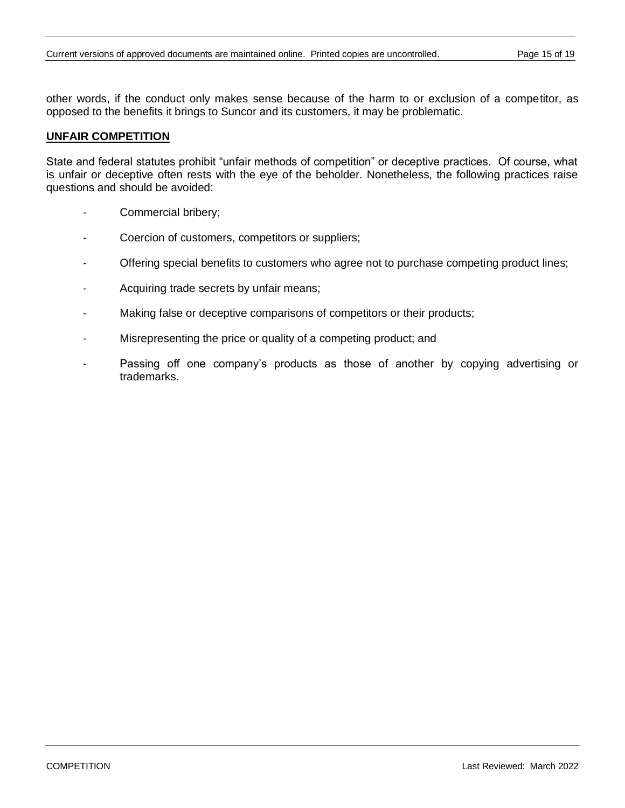other words, if the conduct only makes sense because of the harm to or exclusion of a competitor, as opposed to the benefits it brings to Suncor and its customers, it may be problematic.

#### **UNFAIR COMPETITION**

State and federal statutes prohibit "unfair methods of competition" or deceptive practices. Of course, what is unfair or deceptive often rests with the eye of the beholder. Nonetheless, the following practices raise questions and should be avoided:

- Commercial bribery;
- Coercion of customers, competitors or suppliers;
- Offering special benefits to customers who agree not to purchase competing product lines;
- Acquiring trade secrets by unfair means;
- Making false or deceptive comparisons of competitors or their products;
- Misrepresenting the price or quality of a competing product; and
- Passing off one company's products as those of another by copying advertising or trademarks.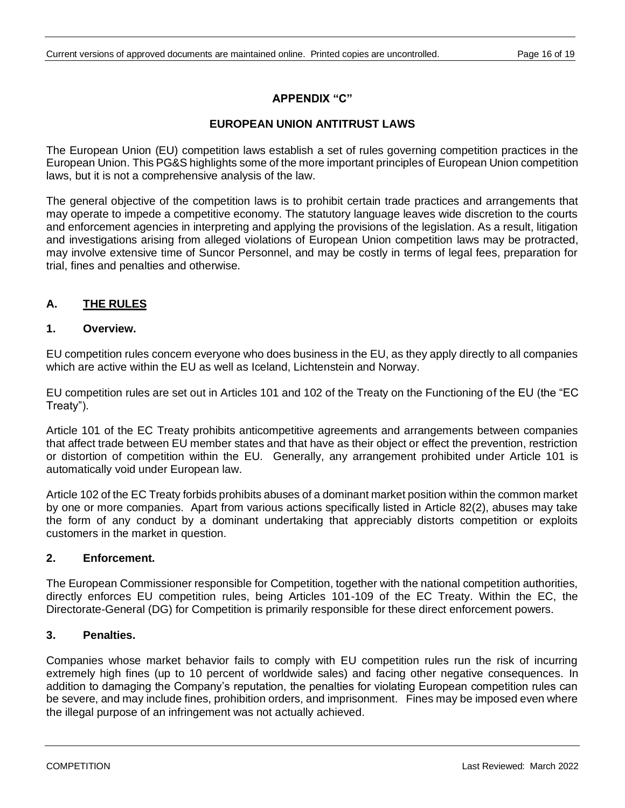### **APPENDIX "C"**

### **EUROPEAN UNION ANTITRUST LAWS**

The European Union (EU) competition laws establish a set of rules governing competition practices in the European Union. This PG&S highlights some of the more important principles of European Union competition laws, but it is not a comprehensive analysis of the law.

The general objective of the competition laws is to prohibit certain trade practices and arrangements that may operate to impede a competitive economy. The statutory language leaves wide discretion to the courts and enforcement agencies in interpreting and applying the provisions of the legislation. As a result, litigation and investigations arising from alleged violations of European Union competition laws may be protracted, may involve extensive time of Suncor Personnel, and may be costly in terms of legal fees, preparation for trial, fines and penalties and otherwise.

### **A. THE RULES**

#### **1. Overview.**

EU competition rules concern everyone who does business in the EU, as they apply directly to all companies which are active within the EU as well as Iceland, Lichtenstein and Norway.

EU competition rules are set out in Articles 101 and 102 of the Treaty on the Functioning of the EU (the "EC Treaty").

Article 101 of the EC Treaty prohibits anticompetitive agreements and arrangements between companies that affect trade between EU member states and that have as their object or effect the prevention, restriction or distortion of competition within the EU. Generally, any arrangement prohibited under Article 101 is automatically void under European law.

Article 102 of the EC Treaty forbids prohibits abuses of a dominant market position within the common market by one or more companies. Apart from various actions specifically listed in Article 82(2), abuses may take the form of any conduct by a dominant undertaking that appreciably distorts competition or exploits customers in the market in question.

#### **2. Enforcement.**

The European Commissioner responsible for Competition, together with the national competition authorities, directly enforces EU competition rules, being Articles 101-109 of the EC Treaty. Within the EC, the Directorate-General (DG) for Competition is primarily responsible for these direct enforcement powers.

### **3. Penalties.**

Companies whose market behavior fails to comply with EU competition rules run the risk of incurring extremely high fines (up to 10 percent of worldwide sales) and facing other negative consequences. In addition to damaging the Company's reputation, the penalties for violating European competition rules can be severe, and may include fines, prohibition orders, and imprisonment. Fines may be imposed even where the illegal purpose of an infringement was not actually achieved.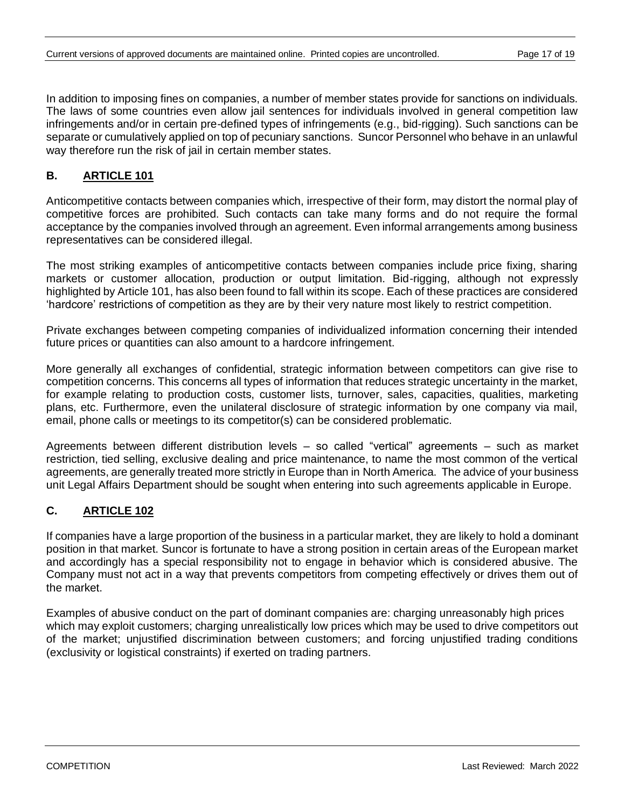In addition to imposing fines on companies, a number of member states provide for sanctions on individuals. The laws of some countries even allow jail sentences for individuals involved in general competition law infringements and/or in certain pre-defined types of infringements (e.g., bid-rigging). Such sanctions can be separate or cumulatively applied on top of pecuniary sanctions. Suncor Personnel who behave in an unlawful way therefore run the risk of jail in certain member states.

# **B. ARTICLE 101**

Anticompetitive contacts between companies which, irrespective of their form, may distort the normal play of competitive forces are prohibited. Such contacts can take many forms and do not require the formal acceptance by the companies involved through an agreement. Even informal arrangements among business representatives can be considered illegal.

The most striking examples of anticompetitive contacts between companies include price fixing, sharing markets or customer allocation, production or output limitation. Bid-rigging, although not expressly highlighted by Article 101, has also been found to fall within its scope. Each of these practices are considered 'hardcore' restrictions of competition as they are by their very nature most likely to restrict competition.

Private exchanges between competing companies of individualized information concerning their intended future prices or quantities can also amount to a hardcore infringement.

More generally all exchanges of confidential, strategic information between competitors can give rise to competition concerns. This concerns all types of information that reduces strategic uncertainty in the market, for example relating to production costs, customer lists, turnover, sales, capacities, qualities, marketing plans, etc. Furthermore, even the unilateral disclosure of strategic information by one company via mail, email, phone calls or meetings to its competitor(s) can be considered problematic.

Agreements between different distribution levels – so called "vertical" agreements – such as market restriction, tied selling, exclusive dealing and price maintenance, to name the most common of the vertical agreements, are generally treated more strictly in Europe than in North America. The advice of your business unit Legal Affairs Department should be sought when entering into such agreements applicable in Europe.

# **C. ARTICLE 102**

If companies have a large proportion of the business in a particular market, they are likely to hold a dominant position in that market. Suncor is fortunate to have a strong position in certain areas of the European market and accordingly has a special responsibility not to engage in behavior which is considered abusive. The Company must not act in a way that prevents competitors from competing effectively or drives them out of the market.

Examples of abusive conduct on the part of dominant companies are: charging unreasonably high prices which may exploit customers; charging unrealistically low prices which may be used to drive competitors out of the market; unjustified discrimination between customers; and forcing unjustified trading conditions (exclusivity or logistical constraints) if exerted on trading partners.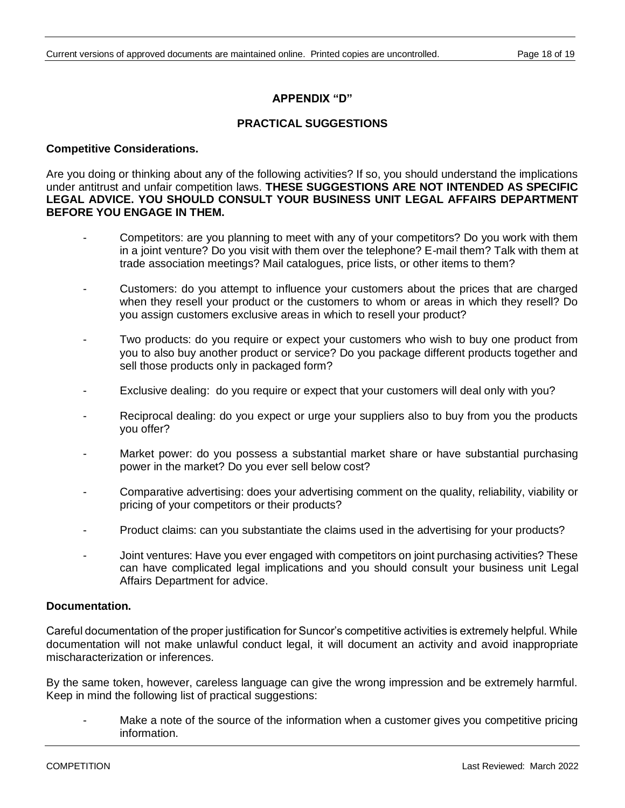### **APPENDIX "D"**

### **PRACTICAL SUGGESTIONS**

#### **Competitive Considerations.**

Are you doing or thinking about any of the following activities? If so, you should understand the implications under antitrust and unfair competition laws. **THESE SUGGESTIONS ARE NOT INTENDED AS SPECIFIC LEGAL ADVICE. YOU SHOULD CONSULT YOUR BUSINESS UNIT LEGAL AFFAIRS DEPARTMENT BEFORE YOU ENGAGE IN THEM.**

- Competitors: are you planning to meet with any of your competitors? Do you work with them in a joint venture? Do you visit with them over the telephone? E-mail them? Talk with them at trade association meetings? Mail catalogues, price lists, or other items to them?
- Customers: do you attempt to influence your customers about the prices that are charged when they resell your product or the customers to whom or areas in which they resell? Do you assign customers exclusive areas in which to resell your product?
- Two products: do you require or expect your customers who wish to buy one product from you to also buy another product or service? Do you package different products together and sell those products only in packaged form?
- Exclusive dealing: do you require or expect that your customers will deal only with you?
- Reciprocal dealing: do you expect or urge your suppliers also to buy from you the products you offer?
- Market power: do you possess a substantial market share or have substantial purchasing power in the market? Do you ever sell below cost?
- Comparative advertising: does your advertising comment on the quality, reliability, viability or pricing of your competitors or their products?
- Product claims: can you substantiate the claims used in the advertising for your products?
- Joint ventures: Have you ever engaged with competitors on joint purchasing activities? These can have complicated legal implications and you should consult your business unit Legal Affairs Department for advice.

#### **Documentation.**

Careful documentation of the proper justification for Suncor's competitive activities is extremely helpful. While documentation will not make unlawful conduct legal, it will document an activity and avoid inappropriate mischaracterization or inferences.

By the same token, however, careless language can give the wrong impression and be extremely harmful. Keep in mind the following list of practical suggestions:

Make a note of the source of the information when a customer gives you competitive pricing information.